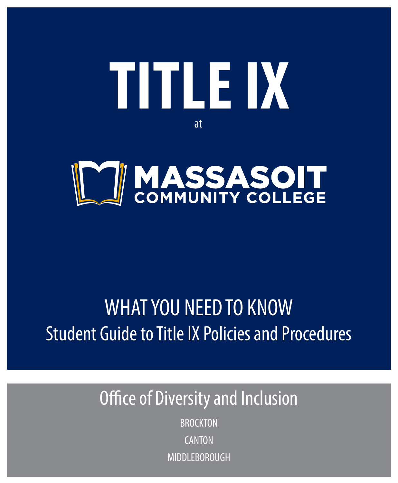



# WHAT YOU NEED TO KNOW Student Guide to Title IX Policies and Procedures

## Office of Diversity and Inclusion

**BROCKTON CANTON** MIDDI FROROUGH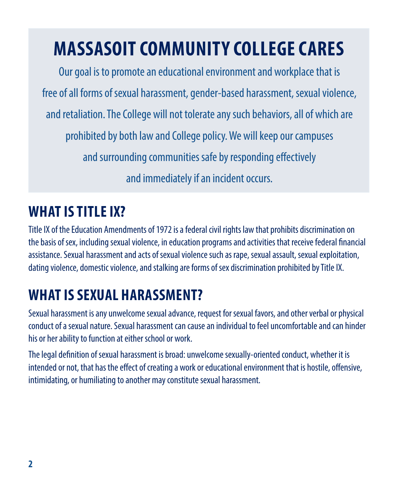# **MASSASOIT COMMUNITY COLLEGE CARES**

Our goal is to promote an educational environment and workplace that is free of all forms of sexual harassment, gender-based harassment, sexual violence, and retaliation. The College will not tolerate any such behaviors, all of which are prohibited by both law and College policy. We will keep our campuses and surrounding communities safe by responding effectively and immediately if an incident occurs.

## **WHAT IS TITLE IX?**

Title IX of the Education Amendments of 1972 is a federal civil rights law that prohibits discrimination on the basis of sex, including sexual violence, in education programs and activities that receive federal financial assistance. Sexual harassment and acts of sexual violence such as rape, sexual assault, sexual exploitation, dating violence, domestic violence, and stalking are forms of sex discrimination prohibited by Title IX.

## **WHAT IS SEXUAL HARASSMENT?**

Sexual harassment is any unwelcome sexual advance, request for sexual favors, and other verbal or physical conduct of a sexual nature. Sexual harassment can cause an individual to feel uncomfortable and can hinder his or her ability to function at either school or work.

The legal definition of sexual harassment is broad: unwelcome sexually-oriented conduct, whether it is intended or not, that has the effect of creating a work or educational environment that is hostile, offensive, intimidating, or humiliating to another may constitute sexual harassment.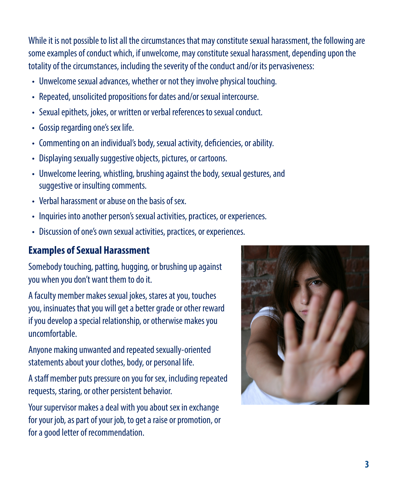While it is not possible to list all the circumstances that may constitute sexual harassment, the following are some examples of conduct which, if unwelcome, may constitute sexual harassment, depending upon the totality of the circumstances, including the severity of the conduct and/or its pervasiveness:

- Unwelcome sexual advances, whether or not they involve physical touching.
- Repeated, unsolicited propositions for dates and/or sexual intercourse.
- Sexual epithets, jokes, or written or verbal references to sexual conduct.
- Gossip regarding one's sex life.
- Commenting on an individual's body, sexual activity, deficiencies, or ability.
- Displaying sexually suggestive objects, pictures, or cartoons.
- Unwelcome leering, whistling, brushing against the body, sexual gestures, and suggestive or insulting comments.
- Verbal harassment or abuse on the basis of sex.
- Inquiries into another person's sexual activities, practices, or experiences.
- Discussion of one's own sexual activities, practices, or experiences.

## **Examples of Sexual Harassment**

Somebody touching, patting, hugging, or brushing up against you when you don't want them to do it.

A faculty member makes sexual jokes, stares at you, touches you, insinuates that you will get a better grade or other reward if you develop a special relationship, or otherwise makes you uncomfortable.

Anyone making unwanted and repeated sexually-oriented statements about your clothes, body, or personal life.

A staff member puts pressure on you for sex, including repeated requests, staring, or other persistent behavior.

Your supervisor makes a deal with you about sex in exchange for your job, as part of your job, to get a raise or promotion, or for a good letter of recommendation.

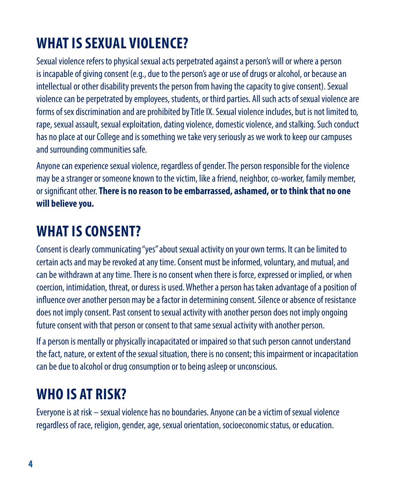## **WHAT IS SEXUAL VIOLENCE?**

Sexual violence refers to physical sexual acts perpetrated against a person's will or where a person is incapable of giving consent (e.g., due to the person's age or use of drugs or alcohol, or because an intellectual or other disability prevents the person from having the capacity to give consent). Sexual violence can be perpetrated by employees, students, or third parties. All such acts of sexual violence are forms of sex discrimination and are prohibited by Title IX. Sexual violence includes, but is not limited to, rape, sexual assault, sexual exploitation, dating violence, domestic violence, and stalking. Such conduct has no place at our College and is something we take very seriously as we work to keep our campuses and surrounding communities safe.

Anyone can experience sexual violence, regardless of gender. The person responsible for the violence may be a stranger or someone known to the victim, like a friend, neighbor, co-worker, family member, or significant other. **There is no reason to be embarrassed, ashamed, or to think that no one will believe you.**

## **WHAT IS CONSENT?**

Consent is clearly communicating "yes" about sexual activity on your own terms. It can be limited to certain acts and may be revoked at any time. Consent must be informed, voluntary, and mutual, and can be withdrawn at any time. There is no consent when there is force, expressed or implied, or when coercion, intimidation, threat, or duress is used. Whether a person has taken advantage of a position of influence over another person may be a factor in determining consent. Silence or absence of resistance does not imply consent. Past consent to sexual activity with another person does not imply ongoing future consent with that person or consent to that same sexual activity with another person.

If a person is mentally or physically incapacitated or impaired so that such person cannot understand the fact, nature, or extent of the sexual situation, there is no consent; this impairment or incapacitation can be due to alcohol or drug consumption or to being asleep or unconscious.

## **WHO IS AT RISK?**

Everyone is at risk – sexual violence has no boundaries. Anyone can be a victim of sexual violence regardless of race, religion, gender, age, sexual orientation, socioeconomic status, or education.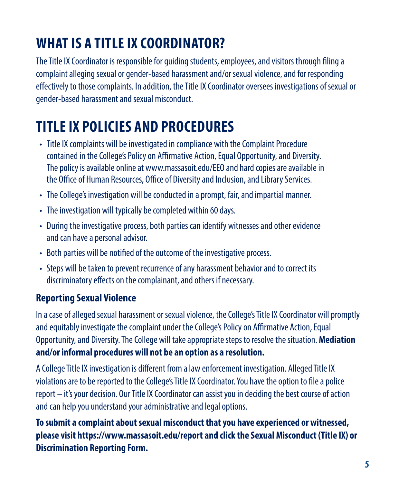## **WHAT IS A TITLE IX COORDINATOR?**

The Title IX Coordinator is responsible for guiding students, employees, and visitors through filing a complaint alleging sexual or gender-based harassment and/or sexual violence, and for responding effectively to those complaints. In addition, the Title IX Coordinator oversees investigations of sexual or gender-based harassment and sexual misconduct.

## **TITLE IX POLICIES AND PROCEDURES**

- Title IX complaints will be investigated in compliance with the Complaint Procedure contained in the College's Policy on Affirmative Action, Equal Opportunity, and Diversity. The policy is available online at www.massasoit.edu/EEO and hard copies are available in the Office of Human Resources, Office of Diversity and Inclusion, and Library Services.
- The College's investigation will be conducted in a prompt, fair, and impartial manner.
- The investigation will typically be completed within 60 days.
- During the investigative process, both parties can identify witnesses and other evidence and can have a personal advisor.
- Both parties will be notified of the outcome of the investigative process.
- Steps will be taken to prevent recurrence of any harassment behavior and to correct its discriminatory effects on the complainant, and others if necessary.

### **Reporting Sexual Violence**

In a case of alleged sexual harassment or sexual violence, the College's Title IX Coordinator will promptly and equitably investigate the complaint under the College's Policy on Affirmative Action, Equal Opportunity, and Diversity. The College will take appropriate steps to resolve the situation. **Mediation and/or informal procedures will not be an option as a resolution.**

A College Title IX investigation is different from a law enforcement investigation. Alleged Title IX violations are to be reported to the College's Title IX Coordinator. You have the option to file a police report – it's your decision. Our Title IX Coordinator can assist you in deciding the best course of action and can help you understand your administrative and legal options.

**To submit a complaint about sexual misconduct that you have experienced or witnessed, please visit https://www.massasoit.edu/report and click the Sexual Misconduct (Title IX) or Discrimination Reporting Form.**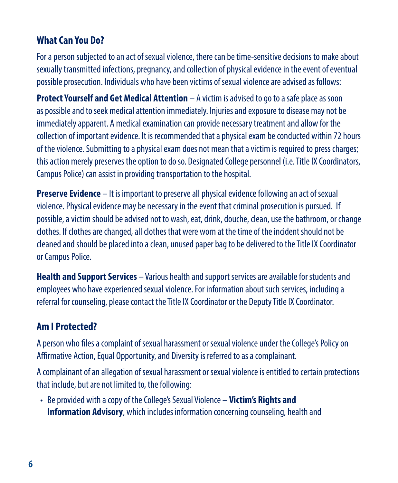### **What Can You Do?**

For a person subjected to an act of sexual violence, there can be time-sensitive decisions to make about sexually transmitted infections, pregnancy, and collection of physical evidence in the event of eventual possible prosecution. Individuals who have been victims of sexual violence are advised as follows:

**Protect Yourself and Get Medical Attention** – A victim is advised to go to a safe place as soon as possible and to seek medical attention immediately. Injuries and exposure to disease may not be immediately apparent. A medical examination can provide necessary treatment and allow for the collection of important evidence. It is recommended that a physical exam be conducted within 72 hours of the violence. Submitting to a physical exam does not mean that a victim is required to press charges; this action merely preserves the option to do so. Designated College personnel (i.e. Title IX Coordinators, Campus Police) can assist in providing transportation to the hospital.

**Preserve Evidence** – It is important to preserve all physical evidence following an act of sexual violence. Physical evidence may be necessary in the event that criminal prosecution is pursued. If possible, a victim should be advised not to wash, eat, drink, douche, clean, use the bathroom, or change clothes. If clothes are changed, all clothes that were worn at the time of the incident should not be cleaned and should be placed into a clean, unused paper bag to be delivered to the Title IX Coordinator or Campus Police.

**Health and Support Services** – Various health and support services are available for students and employees who have experienced sexual violence. For information about such services, including a referral for counseling, please contact the Title IX Coordinator or the Deputy Title IX Coordinator.

### **Am I Protected?**

A person who files a complaint of sexual harassment or sexual violence under the College's Policy on Affirmative Action, Equal Opportunity, and Diversity is referred to as a complainant.

A complainant of an allegation of sexual harassment or sexual violence is entitled to certain protections that include, but are not limited to, the following:

• Be provided with a copy of the College's Sexual Violence – **Victim's Rights and Information Advisory**, which includes information concerning counseling, health and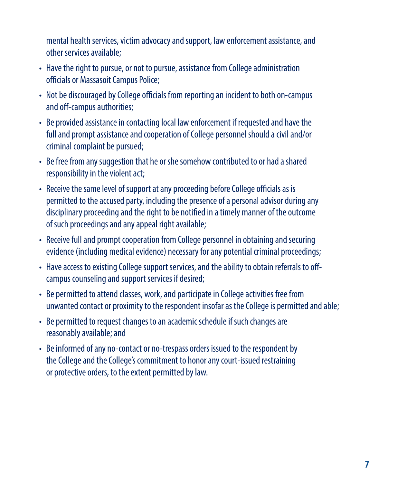mental health services, victim advocacy and support, law enforcement assistance, and other services available;

- Have the right to pursue, or not to pursue, assistance from College administration officials or Massasoit Campus Police;
- Not be discouraged by College officials from reporting an incident to both on-campus and off-campus authorities;
- Be provided assistance in contacting local law enforcement if requested and have the full and prompt assistance and cooperation of College personnel should a civil and/or criminal complaint be pursued;
- Be free from any suggestion that he or she somehow contributed to or had a shared responsibility in the violent act;
- Receive the same level of support at any proceeding before College officials as is permitted to the accused party, including the presence of a personal advisor during any disciplinary proceeding and the right to be notified in a timely manner of the outcome of such proceedings and any appeal right available;
- Receive full and prompt cooperation from College personnel in obtaining and securing evidence (including medical evidence) necessary for any potential criminal proceedings;
- Have access to existing College support services, and the ability to obtain referrals to offcampus counseling and support services if desired;
- Be permitted to attend classes, work, and participate in College activities free from unwanted contact or proximity to the respondent insofar as the College is permitted and able;
- Be permitted to request changes to an academic schedule if such changes are reasonably available; and
- Be informed of any no-contact or no-trespass orders issued to the respondent by the College and the College's commitment to honor any court-issued restraining or protective orders, to the extent permitted by law.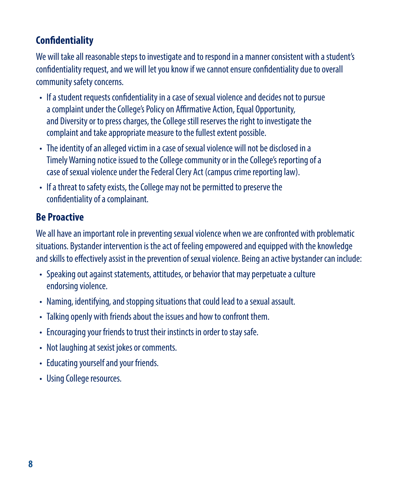## **Confidentiality**

We will take all reasonable steps to investigate and to respond in a manner consistent with a student's confidentiality request, and we will let you know if we cannot ensure confidentiality due to overall community safety concerns.

- If a student requests confidentiality in a case of sexual violence and decides not to pursue a complaint under the College's Policy on Affirmative Action, Equal Opportunity, and Diversity or to press charges, the College still reserves the right to investigate the complaint and take appropriate measure to the fullest extent possible.
- The identity of an alleged victim in a case of sexual violence will not be disclosed in a Timely Warning notice issued to the College community or in the College's reporting of a case of sexual violence under the Federal Clery Act (campus crime reporting law).
- If a threat to safety exists, the College may not be permitted to preserve the confidentiality of a complainant.

### **Be Proactive**

We all have an important role in preventing sexual violence when we are confronted with problematic situations. Bystander intervention is the act of feeling empowered and equipped with the knowledge and skills to effectively assist in the prevention of sexual violence. Being an active bystander can include:

- Speaking out against statements, attitudes, or behavior that may perpetuate a culture endorsing violence.
- Naming, identifying, and stopping situations that could lead to a sexual assault.
- Talking openly with friends about the issues and how to confront them.
- Encouraging your friends to trust their instincts in order to stay safe.
- Not laughing at sexist jokes or comments.
- Educating yourself and your friends.
- Using College resources.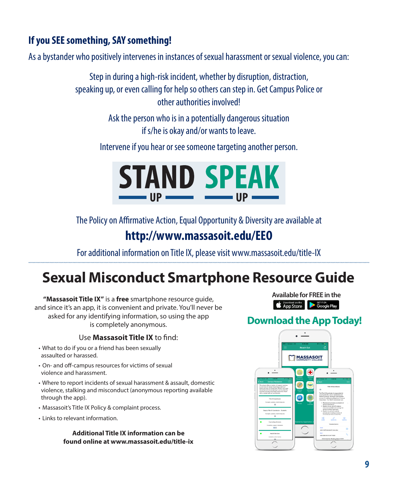## **If you SEE something, SAY something!**

As a bystander who positively intervenes in instances of sexual harassment or sexual violence, you can:

Step in during a high-risk incident, whether by disruption, distraction, speaking up, or even calling for help so others can step in. Get Campus Police or other authorities involved!

> Ask the person who is in a potentially dangerous situation if s/he is okay and/or wants to leave.

Intervene if you hear or see someone targeting another person.



The Policy on Affirmative Action, Equal Opportunity & Diversity are available at **http://www.massasoit.edu/EEO**

For additional information on Title IX, please visit www.massasoit.edu/title-IX

## **Sexual Misconduct Smartphone Resource Guide**

**"Massasoit Title IX"** is a **free** smartphone resource guide, and since it's an app, it is convenient and private. You'll never be asked for any identifying information, so using the app is completely anonymous.

#### Use **Massasoit Title IX** to find:

- What to do if you or a friend has been sexually assaulted or harassed.
- On- and off-campus resources for victims of sexual violence and harassment.
- Where to report incidents of sexual harassment & assault, domestic violence, stalking and misconduct (anonymous reporting available through the app).
- Massasoit's Title IX Policy & complaint process.
- Links to relevant information.

#### **Additional Title IX information can be found online at www.massasoit.edu/title-ix**

**Available for FREE in theSubsequent Condition** Seri Ton

### **Download the App Today!**

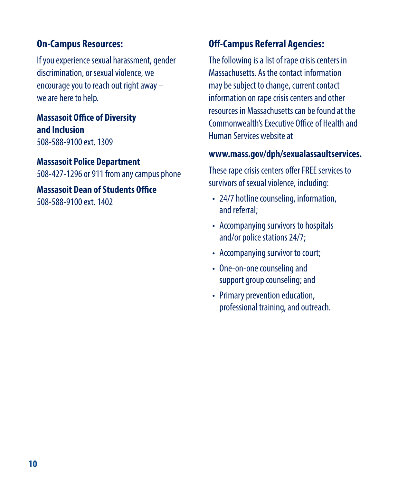### **On-Campus Resources:**

If you experience sexual harassment, gender discrimination, or sexual violence, we encourage you to reach out right away – we are here to help.

#### **Massasoit Office of Diversity and Inclusion** 508-588-9100 ext. 1309

#### **Massasoit Police Department**

508-427-1296 or 911 from any campus phone

**Massasoit Dean of Students Office** 508-588-9100 ext. 1402

### **Off-Campus Referral Agencies:**

The following is a list of rape crisis centers in Massachusetts. As the contact information may be subject to change, current contact information on rape crisis centers and other resources in Massachusetts can be found at the Commonwealth's Executive Office of Health and Human Services website at

#### **www.mass.gov/dph/sexualassaultservices.**

These rape crisis centers offer FREE services to survivors of sexual violence, including:

- 24/7 hotline counseling, information, and referral;
- Accompanying survivors to hospitals and/or police stations 24/7;
- Accompanying survivor to court;
- One-on-one counseling and support group counseling; and
- Primary prevention education, professional training, and outreach.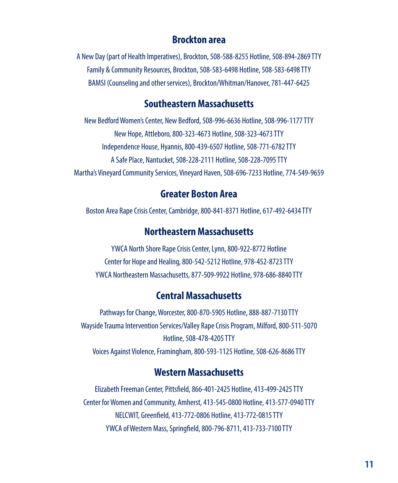#### **Brockton area**

A New Day (part of Health Imperatives), Brockton, 508-588-8255 Hotline, 508-894-2869 TTY Family & Community Resources, Brockton, 508-583-6498 Hotline, 508-583-6498 TTY BAMSI (Counseling and other services), Brockton/Whitman/Hanover, 781-447-6425

#### **Southeastern Massachusetts**

New Bedford Women's Center, New Bedford, 508-996-6636 Hotline, 508-996-1177 TTY New Hope, Attleboro, 800-323-4673 Hotline, 508-323-4673 TTY Independence House, Hyannis, 800-439-6507 Hotline, 508-771-6782 TTY A Safe Place, Nantucket, 508-228-2111 Hotline, 508-228-7095 TTY Martha's Vineyard Community Services, Vineyard Haven, 508-696-7233 Hotline, 774-549-9659

#### **Greater Boston Area**

Boston Area Rape Crisis Center, Cambridge, 800-841-8371 Hotline, 617-492-6434 TTY

#### **Northeastern Massachusetts**

YWCA North Shore Rape Crisis Center, Lynn, 800-922-8772 Hotline Center for Hope and Healing, 800-542-5212 Hotline, 978-452-8723 TTY YWCA Northeastern Massachusetts, 877-509-9922 Hotline, 978-686-8840 TTY

#### **Central Massachusetts**

Pathways for Change, Worcester, 800-870-5905 Hotline, 888-887-7130 TTY Wayside Trauma Intervention Services/Valley Rape Crisis Program, Milford, 800-511-5070 Hotline, 508-478-4205 TTY Voices Against Violence, Framingham, 800-593-1125 Hotline, 508-626-8686 TTY

#### **Western Massachusetts**

Elizabeth Freeman Center, Pittsfield, 866-401-2425 Hotline, 413-499-2425 TTY Center for Women and Community, Amherst, 413-545-0800 Hotline, 413-577-0940 TTY NELCWIT, Greenfield, 413-772-0806 Hotline, 413-772-0815 TTY YWCA of Western Mass, Springfield, 800-796-8711, 413-733-7100 TTY